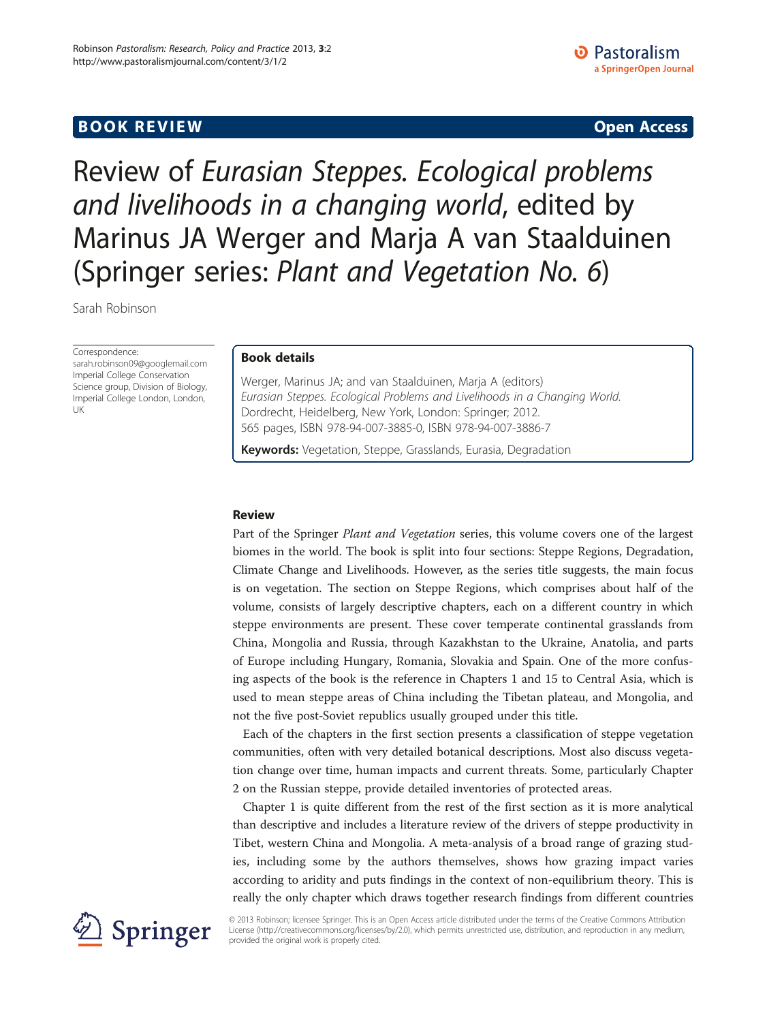# **BOOK REVIEW CONTROL** BOOK REVIEW

Review of Eurasian Steppes. Ecological problems and livelihoods in a changing world, edited by Marinus JA Werger and Marja A van Staalduinen (Springer series: Plant and Vegetation No. 6)

Sarah Robinson

Correspondence

[sarah.robinson09@googlemail.com](mailto:sarah.robinson09@googlemail.com) Imperial College Conservation Science group, Division of Biology, Imperial College London, London, UK

## Book details

Werger, Marinus JA; and van Staalduinen, Marja A (editors) Eurasian Steppes. Ecological Problems and Livelihoods in a Changing World. Dordrecht, Heidelberg, New York, London: Springer; 2012. 565 pages, ISBN 978-94-007-3885-0, ISBN 978-94-007-3886-7

Keywords: Vegetation, Steppe, Grasslands, Eurasia, Degradation

### Review

Part of the Springer Plant and Vegetation series, this volume covers one of the largest biomes in the world. The book is split into four sections: Steppe Regions, Degradation, Climate Change and Livelihoods. However, as the series title suggests, the main focus is on vegetation. The section on Steppe Regions, which comprises about half of the volume, consists of largely descriptive chapters, each on a different country in which steppe environments are present. These cover temperate continental grasslands from China, Mongolia and Russia, through Kazakhstan to the Ukraine, Anatolia, and parts of Europe including Hungary, Romania, Slovakia and Spain. One of the more confusing aspects of the book is the reference in Chapters 1 and 15 to Central Asia, which is used to mean steppe areas of China including the Tibetan plateau, and Mongolia, and not the five post-Soviet republics usually grouped under this title.

Each of the chapters in the first section presents a classification of steppe vegetation communities, often with very detailed botanical descriptions. Most also discuss vegetation change over time, human impacts and current threats. Some, particularly Chapter 2 on the Russian steppe, provide detailed inventories of protected areas.

Chapter 1 is quite different from the rest of the first section as it is more analytical than descriptive and includes a literature review of the drivers of steppe productivity in Tibet, western China and Mongolia. A meta-analysis of a broad range of grazing studies, including some by the authors themselves, shows how grazing impact varies according to aridity and puts findings in the context of non-equilibrium theory. This is really the only chapter which draws together research findings from different countries



© 2013 Robinson; licensee Springer. This is an Open Access article distributed under the terms of the Creative Commons Attribution License [\(http://creativecommons.org/licenses/by/2.0\)](http://creativecommons.org/licenses/by/2.0), which permits unrestricted use, distribution, and reproduction in any medium, provided the original work is properly cited.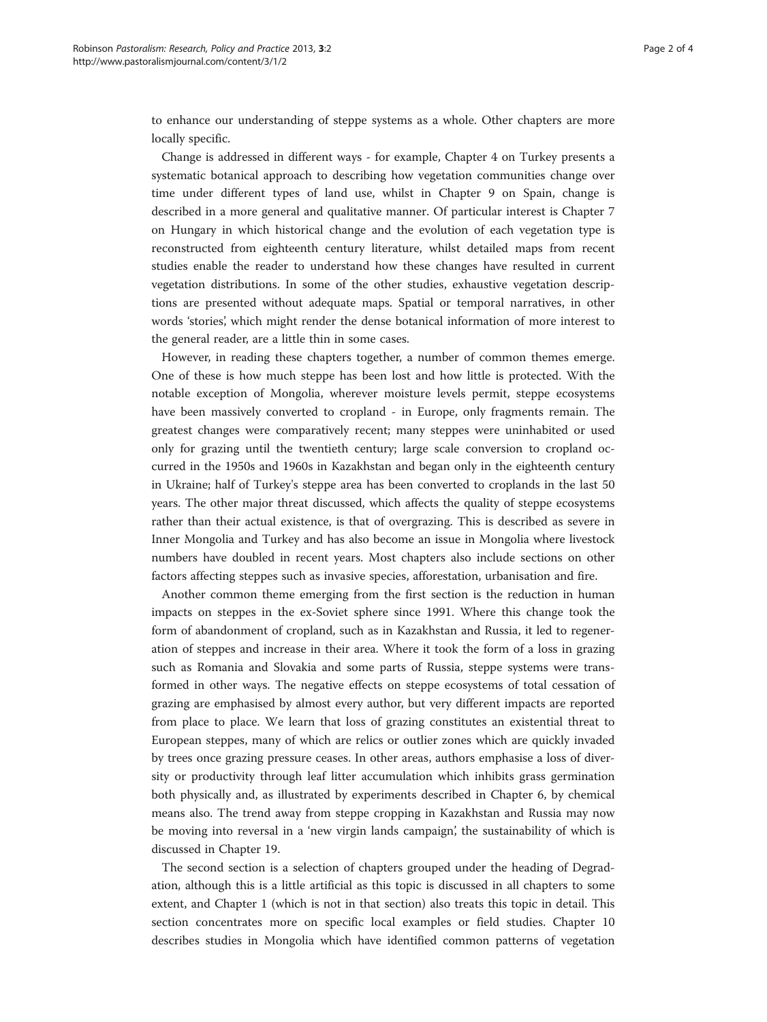to enhance our understanding of steppe systems as a whole. Other chapters are more locally specific.

Change is addressed in different ways - for example, Chapter 4 on Turkey presents a systematic botanical approach to describing how vegetation communities change over time under different types of land use, whilst in Chapter 9 on Spain, change is described in a more general and qualitative manner. Of particular interest is Chapter 7 on Hungary in which historical change and the evolution of each vegetation type is reconstructed from eighteenth century literature, whilst detailed maps from recent studies enable the reader to understand how these changes have resulted in current vegetation distributions. In some of the other studies, exhaustive vegetation descriptions are presented without adequate maps. Spatial or temporal narratives, in other words 'stories', which might render the dense botanical information of more interest to the general reader, are a little thin in some cases.

However, in reading these chapters together, a number of common themes emerge. One of these is how much steppe has been lost and how little is protected. With the notable exception of Mongolia, wherever moisture levels permit, steppe ecosystems have been massively converted to cropland - in Europe, only fragments remain. The greatest changes were comparatively recent; many steppes were uninhabited or used only for grazing until the twentieth century; large scale conversion to cropland occurred in the 1950s and 1960s in Kazakhstan and began only in the eighteenth century in Ukraine; half of Turkey's steppe area has been converted to croplands in the last 50 years. The other major threat discussed, which affects the quality of steppe ecosystems rather than their actual existence, is that of overgrazing. This is described as severe in Inner Mongolia and Turkey and has also become an issue in Mongolia where livestock numbers have doubled in recent years. Most chapters also include sections on other factors affecting steppes such as invasive species, afforestation, urbanisation and fire.

Another common theme emerging from the first section is the reduction in human impacts on steppes in the ex-Soviet sphere since 1991. Where this change took the form of abandonment of cropland, such as in Kazakhstan and Russia, it led to regeneration of steppes and increase in their area. Where it took the form of a loss in grazing such as Romania and Slovakia and some parts of Russia, steppe systems were transformed in other ways. The negative effects on steppe ecosystems of total cessation of grazing are emphasised by almost every author, but very different impacts are reported from place to place. We learn that loss of grazing constitutes an existential threat to European steppes, many of which are relics or outlier zones which are quickly invaded by trees once grazing pressure ceases. In other areas, authors emphasise a loss of diversity or productivity through leaf litter accumulation which inhibits grass germination both physically and, as illustrated by experiments described in Chapter 6, by chemical means also. The trend away from steppe cropping in Kazakhstan and Russia may now be moving into reversal in a 'new virgin lands campaign', the sustainability of which is discussed in Chapter 19.

The second section is a selection of chapters grouped under the heading of Degradation, although this is a little artificial as this topic is discussed in all chapters to some extent, and Chapter 1 (which is not in that section) also treats this topic in detail. This section concentrates more on specific local examples or field studies. Chapter 10 describes studies in Mongolia which have identified common patterns of vegetation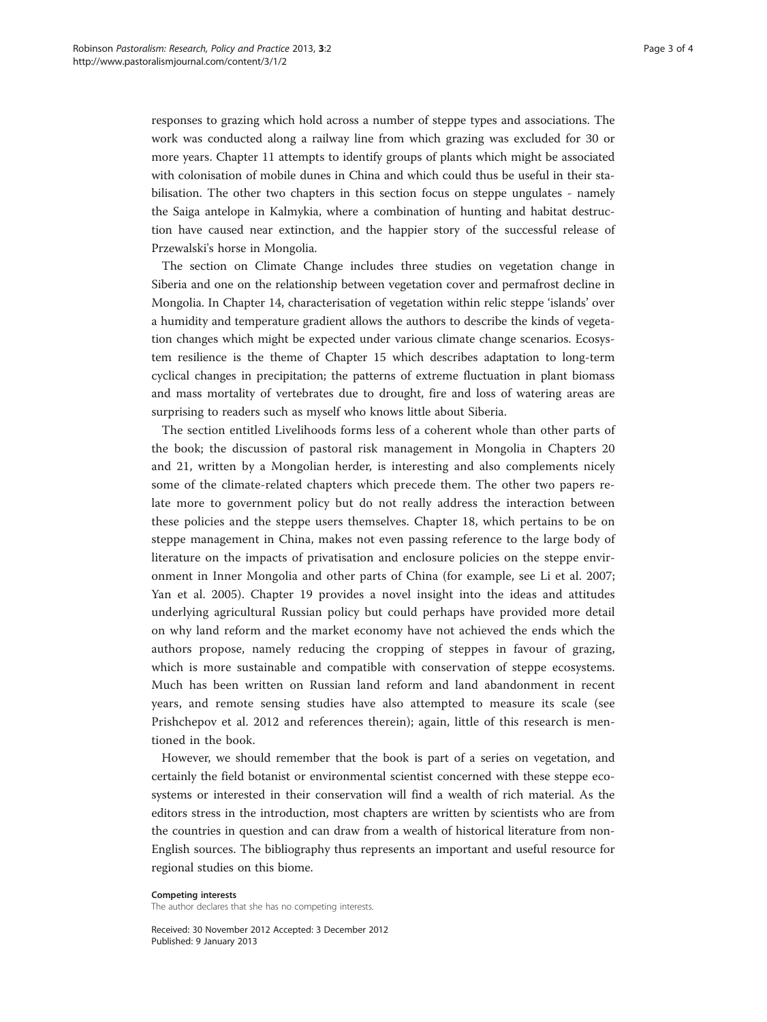responses to grazing which hold across a number of steppe types and associations. The work was conducted along a railway line from which grazing was excluded for 30 or more years. Chapter 11 attempts to identify groups of plants which might be associated with colonisation of mobile dunes in China and which could thus be useful in their stabilisation. The other two chapters in this section focus on steppe ungulates - namely the Saiga antelope in Kalmykia, where a combination of hunting and habitat destruction have caused near extinction, and the happier story of the successful release of Przewalski's horse in Mongolia.

The section on Climate Change includes three studies on vegetation change in Siberia and one on the relationship between vegetation cover and permafrost decline in Mongolia. In Chapter 14, characterisation of vegetation within relic steppe 'islands' over a humidity and temperature gradient allows the authors to describe the kinds of vegetation changes which might be expected under various climate change scenarios. Ecosystem resilience is the theme of Chapter 15 which describes adaptation to long-term cyclical changes in precipitation; the patterns of extreme fluctuation in plant biomass and mass mortality of vertebrates due to drought, fire and loss of watering areas are surprising to readers such as myself who knows little about Siberia.

The section entitled Livelihoods forms less of a coherent whole than other parts of the book; the discussion of pastoral risk management in Mongolia in Chapters 20 and 21, written by a Mongolian herder, is interesting and also complements nicely some of the climate-related chapters which precede them. The other two papers relate more to government policy but do not really address the interaction between these policies and the steppe users themselves. Chapter 18, which pertains to be on steppe management in China, makes not even passing reference to the large body of literature on the impacts of privatisation and enclosure policies on the steppe environment in Inner Mongolia and other parts of China (for example, see Li et al. [2007](#page-3-0); Yan et al. [2005](#page-3-0)). Chapter 19 provides a novel insight into the ideas and attitudes underlying agricultural Russian policy but could perhaps have provided more detail on why land reform and the market economy have not achieved the ends which the authors propose, namely reducing the cropping of steppes in favour of grazing, which is more sustainable and compatible with conservation of steppe ecosystems. Much has been written on Russian land reform and land abandonment in recent years, and remote sensing studies have also attempted to measure its scale (see Prishchepov et al. [2012](#page-3-0) and references therein); again, little of this research is mentioned in the book.

However, we should remember that the book is part of a series on vegetation, and certainly the field botanist or environmental scientist concerned with these steppe ecosystems or interested in their conservation will find a wealth of rich material. As the editors stress in the introduction, most chapters are written by scientists who are from the countries in question and can draw from a wealth of historical literature from non-English sources. The bibliography thus represents an important and useful resource for regional studies on this biome.

#### Competing interests

The author declares that she has no competing interests.

Received: 30 November 2012 Accepted: 3 December 2012 Published: 9 January 2013